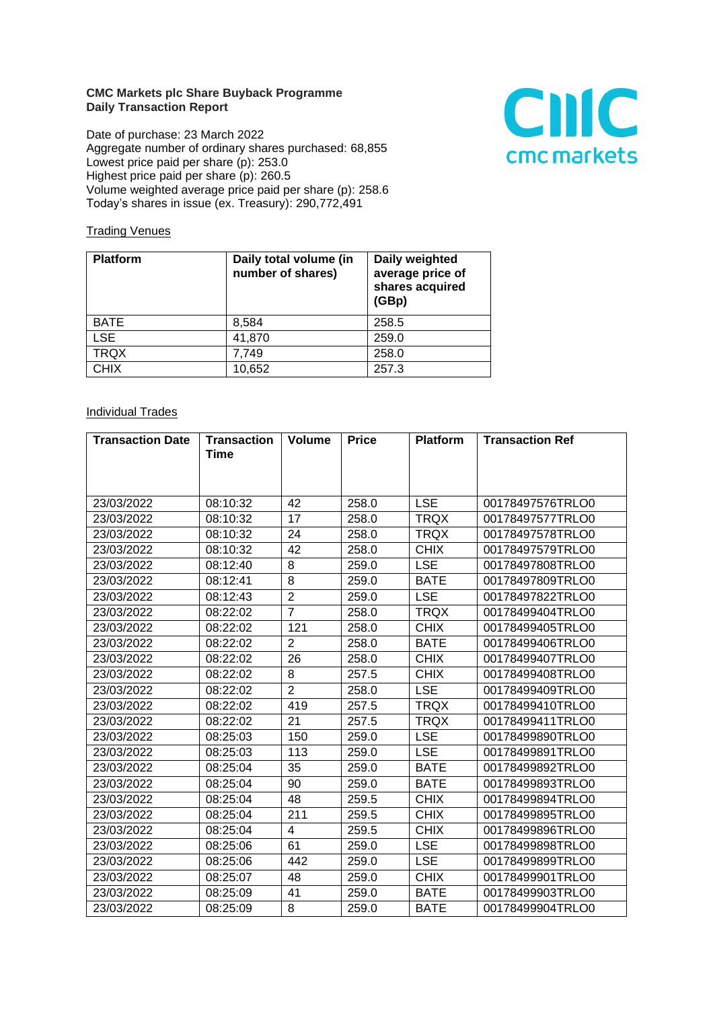## **CMC Markets plc Share Buyback Programme Daily Transaction Report**

Date of purchase: 23 March 2022 Aggregate number of ordinary shares purchased: 68,855 Lowest price paid per share (p): 253.0 Highest price paid per share (p): 260.5 Volume weighted average price paid per share (p): 258.6 Today's shares in issue (ex. Treasury): 290,772,491



## **Trading Venues**

| <b>Platform</b> | Daily total volume (in<br>number of shares) | Daily weighted<br>average price of<br>shares acquired<br>(GBp) |
|-----------------|---------------------------------------------|----------------------------------------------------------------|
| <b>BATE</b>     | 8,584                                       | 258.5                                                          |
| <b>LSE</b>      | 41,870                                      | 259.0                                                          |
| <b>TRQX</b>     | 7,749                                       | 258.0                                                          |
| <b>CHIX</b>     | 10,652                                      | 257.3                                                          |

## **Individual Trades**

| <b>Transaction Date</b> | <b>Transaction</b> | <b>Volume</b>  | <b>Price</b> | <b>Platform</b> | <b>Transaction Ref</b> |
|-------------------------|--------------------|----------------|--------------|-----------------|------------------------|
|                         | <b>Time</b>        |                |              |                 |                        |
|                         |                    |                |              |                 |                        |
|                         |                    |                |              |                 |                        |
| 23/03/2022              | 08:10:32           | 42             | 258.0        | <b>LSE</b>      | 00178497576TRLO0       |
| 23/03/2022              | 08:10:32           | 17             | 258.0        | <b>TRQX</b>     | 00178497577TRLO0       |
| 23/03/2022              | 08:10:32           | 24             | 258.0        | <b>TRQX</b>     | 00178497578TRLO0       |
| 23/03/2022              | 08:10:32           | 42             | 258.0        | <b>CHIX</b>     | 00178497579TRLO0       |
| 23/03/2022              | 08:12:40           | 8              | 259.0        | <b>LSE</b>      | 00178497808TRLO0       |
| 23/03/2022              | 08:12:41           | 8              | 259.0        | <b>BATE</b>     | 00178497809TRLO0       |
| 23/03/2022              | 08:12:43           | $\overline{2}$ | 259.0        | <b>LSE</b>      | 00178497822TRLO0       |
| 23/03/2022              | 08:22:02           | $\overline{7}$ | 258.0        | <b>TRQX</b>     | 00178499404TRLO0       |
| 23/03/2022              | 08:22:02           | 121            | 258.0        | <b>CHIX</b>     | 00178499405TRLO0       |
| 23/03/2022              | 08:22:02           | $\overline{2}$ | 258.0        | <b>BATE</b>     | 00178499406TRLO0       |
| 23/03/2022              | 08:22:02           | 26             | 258.0        | <b>CHIX</b>     | 00178499407TRLO0       |
| 23/03/2022              | 08:22:02           | 8              | 257.5        | <b>CHIX</b>     | 00178499408TRLO0       |
| 23/03/2022              | 08:22:02           | $\overline{2}$ | 258.0        | <b>LSE</b>      | 00178499409TRLO0       |
| 23/03/2022              | 08:22:02           | 419            | 257.5        | <b>TRQX</b>     | 00178499410TRLO0       |
| 23/03/2022              | 08:22:02           | 21             | 257.5        | <b>TRQX</b>     | 00178499411TRLO0       |
| 23/03/2022              | 08:25:03           | 150            | 259.0        | <b>LSE</b>      | 00178499890TRLO0       |
| 23/03/2022              | 08:25:03           | 113            | 259.0        | <b>LSE</b>      | 00178499891TRLO0       |
| 23/03/2022              | 08:25:04           | 35             | 259.0        | <b>BATE</b>     | 00178499892TRLO0       |
| 23/03/2022              | 08:25:04           | 90             | 259.0        | <b>BATE</b>     | 00178499893TRLO0       |
| 23/03/2022              | 08:25:04           | 48             | 259.5        | <b>CHIX</b>     | 00178499894TRLO0       |
| 23/03/2022              | 08:25:04           | 211            | 259.5        | <b>CHIX</b>     | 00178499895TRLO0       |
| 23/03/2022              | 08:25:04           | 4              | 259.5        | <b>CHIX</b>     | 00178499896TRLO0       |
| 23/03/2022              | 08:25:06           | 61             | 259.0        | <b>LSE</b>      | 00178499898TRLO0       |
| 23/03/2022              | 08:25:06           | 442            | 259.0        | <b>LSE</b>      | 00178499899TRLO0       |
| 23/03/2022              | 08:25:07           | 48             | 259.0        | <b>CHIX</b>     | 00178499901TRLO0       |
| 23/03/2022              | 08:25:09           | 41             | 259.0        | <b>BATE</b>     | 00178499903TRLO0       |
| 23/03/2022              | 08:25:09           | 8              | 259.0        | <b>BATE</b>     | 00178499904TRLO0       |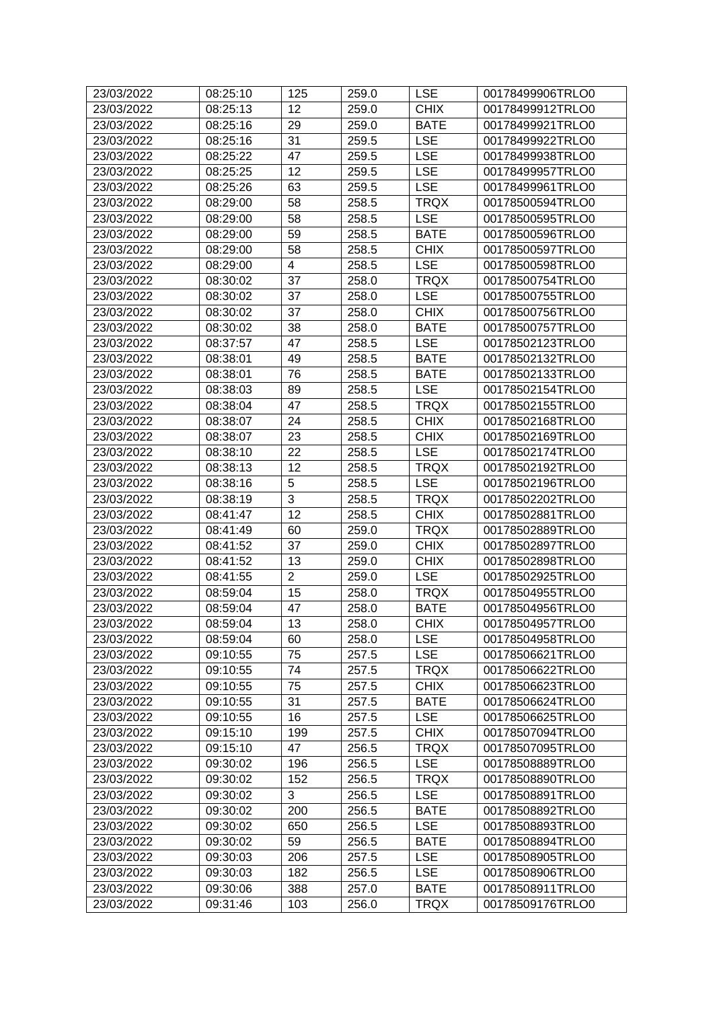| 23/03/2022 | 08:25:10 | 125            | 259.0 | <b>LSE</b>  | 00178499906TRLO0 |
|------------|----------|----------------|-------|-------------|------------------|
| 23/03/2022 | 08:25:13 | 12             | 259.0 | <b>CHIX</b> | 00178499912TRLO0 |
| 23/03/2022 | 08:25:16 | 29             | 259.0 | <b>BATE</b> | 00178499921TRLO0 |
| 23/03/2022 | 08:25:16 | 31             | 259.5 | <b>LSE</b>  | 00178499922TRLO0 |
| 23/03/2022 | 08:25:22 | 47             | 259.5 | <b>LSE</b>  | 00178499938TRLO0 |
| 23/03/2022 | 08:25:25 | 12             | 259.5 | <b>LSE</b>  | 00178499957TRLO0 |
| 23/03/2022 | 08:25:26 | 63             | 259.5 | <b>LSE</b>  | 00178499961TRLO0 |
| 23/03/2022 | 08:29:00 | 58             | 258.5 | <b>TRQX</b> | 00178500594TRLO0 |
| 23/03/2022 | 08:29:00 | 58             | 258.5 | <b>LSE</b>  | 00178500595TRLO0 |
| 23/03/2022 | 08:29:00 | 59             | 258.5 | <b>BATE</b> | 00178500596TRLO0 |
| 23/03/2022 | 08:29:00 | 58             | 258.5 | <b>CHIX</b> | 00178500597TRLO0 |
| 23/03/2022 | 08:29:00 | 4              | 258.5 | <b>LSE</b>  | 00178500598TRLO0 |
| 23/03/2022 | 08:30:02 | 37             | 258.0 | <b>TRQX</b> | 00178500754TRLO0 |
| 23/03/2022 | 08:30:02 | 37             | 258.0 | <b>LSE</b>  | 00178500755TRLO0 |
| 23/03/2022 | 08:30:02 | 37             | 258.0 | <b>CHIX</b> | 00178500756TRLO0 |
| 23/03/2022 | 08:30:02 | 38             | 258.0 | <b>BATE</b> | 00178500757TRLO0 |
| 23/03/2022 | 08:37:57 | 47             | 258.5 | <b>LSE</b>  | 00178502123TRLO0 |
| 23/03/2022 | 08:38:01 | 49             | 258.5 | <b>BATE</b> | 00178502132TRLO0 |
| 23/03/2022 | 08:38:01 | 76             | 258.5 | <b>BATE</b> | 00178502133TRLO0 |
| 23/03/2022 | 08:38:03 | 89             | 258.5 | <b>LSE</b>  | 00178502154TRLO0 |
| 23/03/2022 | 08:38:04 | 47             | 258.5 | <b>TRQX</b> | 00178502155TRLO0 |
| 23/03/2022 | 08:38:07 | 24             | 258.5 | <b>CHIX</b> | 00178502168TRLO0 |
| 23/03/2022 | 08:38:07 | 23             | 258.5 | <b>CHIX</b> | 00178502169TRLO0 |
| 23/03/2022 | 08:38:10 | 22             | 258.5 | <b>LSE</b>  | 00178502174TRLO0 |
| 23/03/2022 | 08:38:13 | 12             | 258.5 | <b>TRQX</b> | 00178502192TRLO0 |
| 23/03/2022 | 08:38:16 | 5              | 258.5 | <b>LSE</b>  | 00178502196TRLO0 |
| 23/03/2022 | 08:38:19 | 3              | 258.5 | <b>TRQX</b> | 00178502202TRLO0 |
| 23/03/2022 | 08:41:47 | 12             | 258.5 | <b>CHIX</b> | 00178502881TRLO0 |
| 23/03/2022 | 08:41:49 | 60             | 259.0 | <b>TRQX</b> | 00178502889TRLO0 |
| 23/03/2022 | 08:41:52 | 37             | 259.0 | <b>CHIX</b> | 00178502897TRLO0 |
| 23/03/2022 | 08:41:52 | 13             | 259.0 | <b>CHIX</b> | 00178502898TRLO0 |
| 23/03/2022 | 08:41:55 | $\overline{2}$ | 259.0 | <b>LSE</b>  | 00178502925TRLO0 |
| 23/03/2022 | 08:59:04 | 15             | 258.0 | <b>TRQX</b> | 00178504955TRLO0 |
| 23/03/2022 | 08:59:04 | 47             | 258.0 | <b>BATE</b> | 00178504956TRLO0 |
| 23/03/2022 | 08:59:04 | 13             | 258.0 | <b>CHIX</b> | 00178504957TRLO0 |
| 23/03/2022 | 08:59:04 | 60             | 258.0 | LSE         | 00178504958TRLO0 |
| 23/03/2022 | 09:10:55 | 75             | 257.5 | <b>LSE</b>  | 00178506621TRLO0 |
| 23/03/2022 | 09:10:55 | 74             | 257.5 | <b>TRQX</b> | 00178506622TRLO0 |
| 23/03/2022 | 09:10:55 | 75             | 257.5 | <b>CHIX</b> | 00178506623TRLO0 |
| 23/03/2022 | 09:10:55 | 31             | 257.5 | <b>BATE</b> | 00178506624TRLO0 |
| 23/03/2022 | 09:10:55 | 16             | 257.5 | <b>LSE</b>  | 00178506625TRLO0 |
| 23/03/2022 | 09:15:10 | 199            | 257.5 | <b>CHIX</b> | 00178507094TRLO0 |
| 23/03/2022 | 09:15:10 | 47             | 256.5 | <b>TRQX</b> | 00178507095TRLO0 |
| 23/03/2022 | 09:30:02 | 196            | 256.5 | <b>LSE</b>  | 00178508889TRLO0 |
| 23/03/2022 | 09:30:02 | 152            | 256.5 | <b>TRQX</b> | 00178508890TRLO0 |
| 23/03/2022 | 09:30:02 | 3              | 256.5 | <b>LSE</b>  | 00178508891TRLO0 |
| 23/03/2022 | 09:30:02 | 200            | 256.5 | <b>BATE</b> | 00178508892TRLO0 |
| 23/03/2022 | 09:30:02 | 650            | 256.5 | <b>LSE</b>  | 00178508893TRLO0 |
| 23/03/2022 | 09:30:02 | 59             | 256.5 | <b>BATE</b> | 00178508894TRLO0 |
| 23/03/2022 | 09:30:03 | 206            | 257.5 | <b>LSE</b>  | 00178508905TRLO0 |
| 23/03/2022 | 09:30:03 | 182            | 256.5 | <b>LSE</b>  | 00178508906TRLO0 |
| 23/03/2022 | 09:30:06 | 388            | 257.0 | <b>BATE</b> | 00178508911TRLO0 |
| 23/03/2022 | 09:31:46 | 103            | 256.0 | <b>TRQX</b> | 00178509176TRLO0 |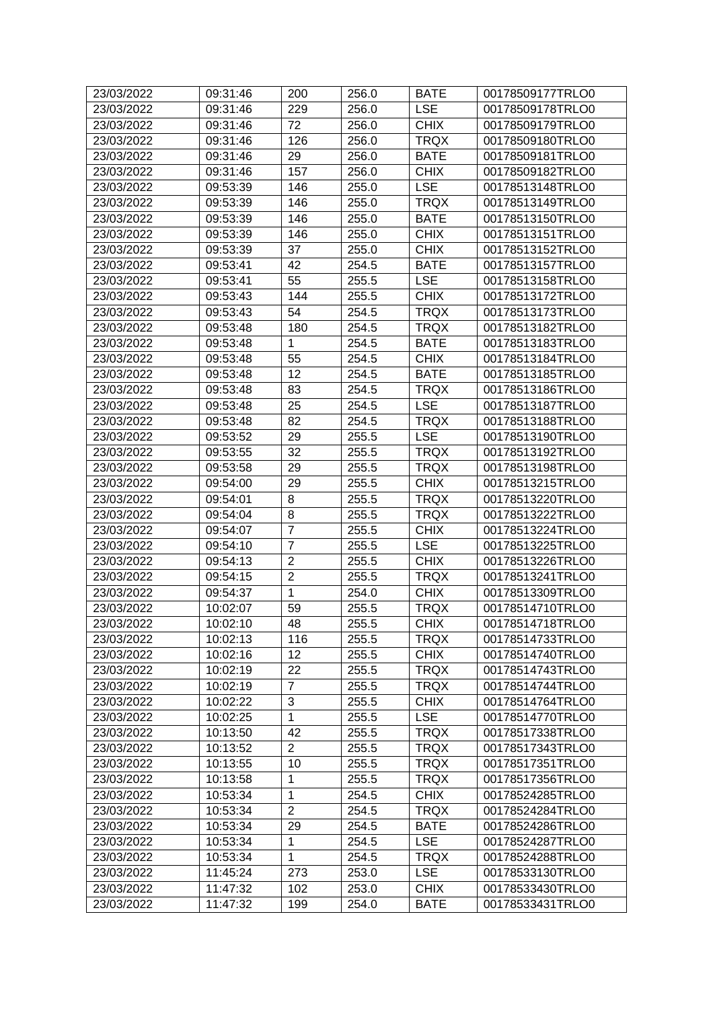| 23/03/2022 | 09:31:46 | 200            | 256.0 | <b>BATE</b> | 00178509177TRLO0 |
|------------|----------|----------------|-------|-------------|------------------|
| 23/03/2022 | 09:31:46 | 229            | 256.0 | <b>LSE</b>  | 00178509178TRLO0 |
| 23/03/2022 | 09:31:46 | 72             | 256.0 | <b>CHIX</b> | 00178509179TRLO0 |
| 23/03/2022 | 09:31:46 | 126            | 256.0 | <b>TRQX</b> | 00178509180TRLO0 |
| 23/03/2022 | 09:31:46 | 29             | 256.0 | <b>BATE</b> | 00178509181TRLO0 |
| 23/03/2022 | 09:31:46 | 157            | 256.0 | <b>CHIX</b> | 00178509182TRLO0 |
| 23/03/2022 | 09:53:39 | 146            | 255.0 | <b>LSE</b>  | 00178513148TRLO0 |
| 23/03/2022 | 09:53:39 | 146            | 255.0 | <b>TRQX</b> | 00178513149TRLO0 |
| 23/03/2022 | 09:53:39 | 146            | 255.0 | <b>BATE</b> | 00178513150TRLO0 |
| 23/03/2022 | 09:53:39 | 146            | 255.0 | <b>CHIX</b> | 00178513151TRLO0 |
| 23/03/2022 | 09:53:39 | 37             | 255.0 | <b>CHIX</b> | 00178513152TRLO0 |
| 23/03/2022 | 09:53:41 | 42             | 254.5 | <b>BATE</b> | 00178513157TRLO0 |
| 23/03/2022 | 09:53:41 | 55             | 255.5 | <b>LSE</b>  | 00178513158TRLO0 |
| 23/03/2022 | 09:53:43 | 144            | 255.5 | <b>CHIX</b> | 00178513172TRLO0 |
| 23/03/2022 | 09:53:43 | 54             | 254.5 | <b>TRQX</b> | 00178513173TRLO0 |
| 23/03/2022 | 09:53:48 | 180            | 254.5 | <b>TRQX</b> | 00178513182TRLO0 |
| 23/03/2022 | 09:53:48 | 1              | 254.5 | <b>BATE</b> | 00178513183TRLO0 |
| 23/03/2022 | 09:53:48 | 55             | 254.5 | <b>CHIX</b> | 00178513184TRLO0 |
| 23/03/2022 | 09:53:48 | 12             | 254.5 | <b>BATE</b> | 00178513185TRLO0 |
| 23/03/2022 | 09:53:48 | 83             | 254.5 | <b>TRQX</b> | 00178513186TRLO0 |
| 23/03/2022 | 09:53:48 | 25             | 254.5 | <b>LSE</b>  | 00178513187TRLO0 |
| 23/03/2022 | 09:53:48 | 82             | 254.5 | <b>TRQX</b> | 00178513188TRLO0 |
| 23/03/2022 | 09:53:52 | 29             | 255.5 | <b>LSE</b>  | 00178513190TRLO0 |
| 23/03/2022 | 09:53:55 | 32             | 255.5 | <b>TRQX</b> | 00178513192TRLO0 |
| 23/03/2022 | 09:53:58 | 29             | 255.5 | <b>TRQX</b> | 00178513198TRLO0 |
| 23/03/2022 | 09:54:00 | 29             | 255.5 | <b>CHIX</b> | 00178513215TRLO0 |
| 23/03/2022 | 09:54:01 | 8              | 255.5 | <b>TRQX</b> | 00178513220TRLO0 |
| 23/03/2022 | 09:54:04 | 8              | 255.5 | <b>TRQX</b> | 00178513222TRLO0 |
| 23/03/2022 | 09:54:07 | $\overline{7}$ | 255.5 | <b>CHIX</b> | 00178513224TRLO0 |
| 23/03/2022 | 09:54:10 | $\overline{7}$ | 255.5 | <b>LSE</b>  | 00178513225TRLO0 |
| 23/03/2022 | 09:54:13 | $\overline{2}$ | 255.5 | <b>CHIX</b> | 00178513226TRLO0 |
| 23/03/2022 | 09:54:15 | $\overline{2}$ | 255.5 | <b>TRQX</b> | 00178513241TRLO0 |
| 23/03/2022 | 09:54:37 | $\mathbf{1}$   | 254.0 | <b>CHIX</b> | 00178513309TRLO0 |
| 23/03/2022 | 10:02:07 | 59             | 255.5 | <b>TRQX</b> | 00178514710TRLO0 |
| 23/03/2022 | 10:02:10 | 48             | 255.5 | CHIX        | 00178514718TRLO0 |
| 23/03/2022 | 10:02:13 | 116            | 255.5 | <b>TRQX</b> | 00178514733TRLO0 |
| 23/03/2022 | 10:02:16 | 12             | 255.5 | <b>CHIX</b> | 00178514740TRLO0 |
| 23/03/2022 | 10:02:19 | 22             | 255.5 | <b>TRQX</b> | 00178514743TRLO0 |
| 23/03/2022 | 10:02:19 | $\overline{7}$ | 255.5 | <b>TRQX</b> | 00178514744TRLO0 |
| 23/03/2022 | 10:02:22 | 3              | 255.5 | <b>CHIX</b> | 00178514764TRLO0 |
| 23/03/2022 | 10:02:25 | 1              | 255.5 | <b>LSE</b>  | 00178514770TRLO0 |
| 23/03/2022 | 10:13:50 | 42             | 255.5 | <b>TRQX</b> | 00178517338TRLO0 |
| 23/03/2022 | 10:13:52 | $\overline{2}$ | 255.5 | <b>TRQX</b> | 00178517343TRLO0 |
| 23/03/2022 | 10:13:55 | 10             | 255.5 | <b>TRQX</b> | 00178517351TRLO0 |
| 23/03/2022 | 10:13:58 | 1              | 255.5 | <b>TRQX</b> | 00178517356TRLO0 |
| 23/03/2022 | 10:53:34 | 1              | 254.5 | <b>CHIX</b> | 00178524285TRLO0 |
| 23/03/2022 | 10:53:34 | $\overline{2}$ | 254.5 | <b>TRQX</b> | 00178524284TRLO0 |
| 23/03/2022 | 10:53:34 | 29             | 254.5 | <b>BATE</b> | 00178524286TRLO0 |
| 23/03/2022 | 10:53:34 | 1              | 254.5 | <b>LSE</b>  | 00178524287TRLO0 |
| 23/03/2022 | 10:53:34 | 1              | 254.5 | <b>TRQX</b> | 00178524288TRLO0 |
| 23/03/2022 | 11:45:24 | 273            | 253.0 | <b>LSE</b>  | 00178533130TRLO0 |
| 23/03/2022 | 11:47:32 | 102            | 253.0 | <b>CHIX</b> | 00178533430TRLO0 |
| 23/03/2022 | 11:47:32 | 199            | 254.0 | <b>BATE</b> | 00178533431TRLO0 |
|            |          |                |       |             |                  |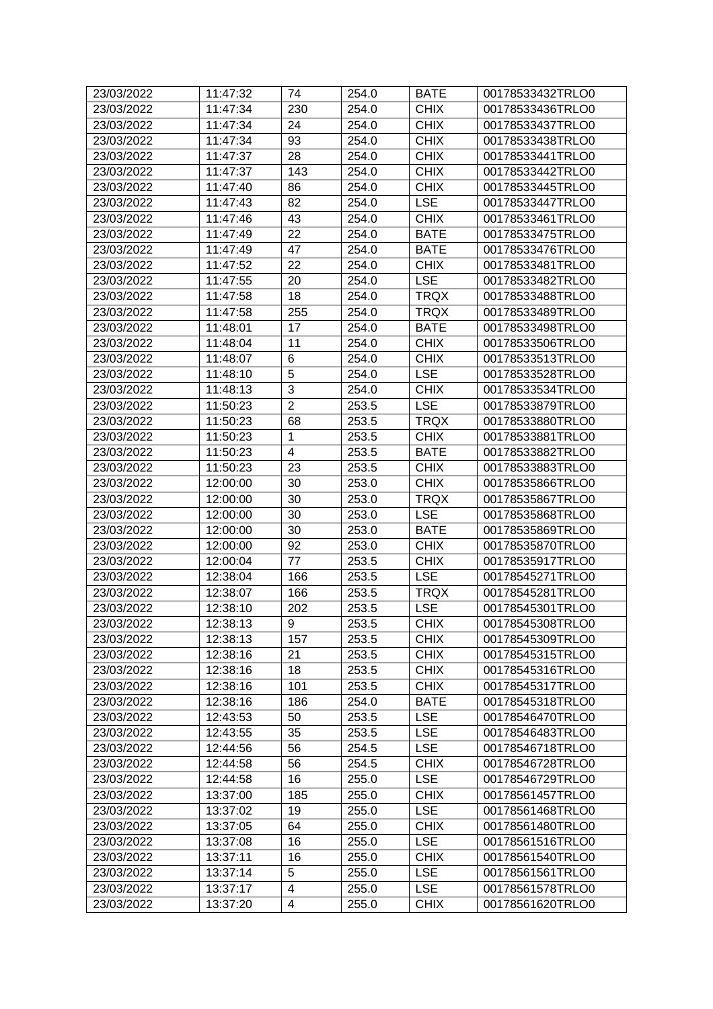| 23/03/2022 | 11:47:32 | 74                      | 254.0 | <b>BATE</b> | 00178533432TRLO0 |
|------------|----------|-------------------------|-------|-------------|------------------|
| 23/03/2022 | 11:47:34 | 230                     | 254.0 | <b>CHIX</b> | 00178533436TRLO0 |
| 23/03/2022 | 11:47:34 | 24                      | 254.0 | <b>CHIX</b> | 00178533437TRLO0 |
| 23/03/2022 | 11:47:34 | 93                      | 254.0 | <b>CHIX</b> | 00178533438TRLO0 |
| 23/03/2022 | 11:47:37 | 28                      | 254.0 | <b>CHIX</b> | 00178533441TRLO0 |
| 23/03/2022 | 11:47:37 | 143                     | 254.0 | <b>CHIX</b> | 00178533442TRLO0 |
| 23/03/2022 | 11:47:40 | 86                      | 254.0 | <b>CHIX</b> | 00178533445TRLO0 |
| 23/03/2022 | 11:47:43 | 82                      | 254.0 | <b>LSE</b>  | 00178533447TRLO0 |
| 23/03/2022 | 11:47:46 | 43                      | 254.0 | <b>CHIX</b> | 00178533461TRLO0 |
| 23/03/2022 | 11:47:49 | 22                      | 254.0 | <b>BATE</b> | 00178533475TRLO0 |
| 23/03/2022 | 11:47:49 | 47                      | 254.0 | <b>BATE</b> | 00178533476TRLO0 |
| 23/03/2022 | 11:47:52 | 22                      | 254.0 | <b>CHIX</b> | 00178533481TRLO0 |
| 23/03/2022 | 11:47:55 | 20                      | 254.0 | <b>LSE</b>  | 00178533482TRLO0 |
| 23/03/2022 | 11:47:58 | 18                      | 254.0 | <b>TRQX</b> | 00178533488TRLO0 |
| 23/03/2022 | 11:47:58 | 255                     | 254.0 | <b>TRQX</b> | 00178533489TRLO0 |
| 23/03/2022 | 11:48:01 | 17                      | 254.0 | <b>BATE</b> | 00178533498TRLO0 |
| 23/03/2022 | 11:48:04 | 11                      | 254.0 | <b>CHIX</b> | 00178533506TRLO0 |
| 23/03/2022 | 11:48:07 | 6                       | 254.0 | <b>CHIX</b> | 00178533513TRLO0 |
| 23/03/2022 | 11:48:10 | 5                       | 254.0 | <b>LSE</b>  | 00178533528TRLO0 |
| 23/03/2022 | 11:48:13 | 3                       | 254.0 | <b>CHIX</b> | 00178533534TRLO0 |
| 23/03/2022 | 11:50:23 | $\overline{2}$          | 253.5 | <b>LSE</b>  | 00178533879TRLO0 |
| 23/03/2022 | 11:50:23 | 68                      | 253.5 | <b>TRQX</b> | 00178533880TRLO0 |
| 23/03/2022 | 11:50:23 | 1                       | 253.5 | <b>CHIX</b> | 00178533881TRLO0 |
| 23/03/2022 | 11:50:23 | 4                       | 253.5 | <b>BATE</b> | 00178533882TRLO0 |
| 23/03/2022 | 11:50:23 | 23                      | 253.5 | <b>CHIX</b> | 00178533883TRLO0 |
| 23/03/2022 | 12:00:00 | 30                      | 253.0 | <b>CHIX</b> | 00178535866TRLO0 |
| 23/03/2022 | 12:00:00 | 30                      | 253.0 | <b>TRQX</b> | 00178535867TRLO0 |
| 23/03/2022 | 12:00:00 | 30                      | 253.0 | <b>LSE</b>  | 00178535868TRLO0 |
| 23/03/2022 | 12:00:00 | 30                      | 253.0 | <b>BATE</b> | 00178535869TRLO0 |
| 23/03/2022 | 12:00:00 | 92                      | 253.0 | <b>CHIX</b> | 00178535870TRLO0 |
| 23/03/2022 | 12:00:04 | 77                      | 253.5 | <b>CHIX</b> | 00178535917TRLO0 |
| 23/03/2022 | 12:38:04 | 166                     | 253.5 | <b>LSE</b>  | 00178545271TRLO0 |
| 23/03/2022 | 12:38:07 | 166                     | 253.5 | <b>TRQX</b> | 00178545281TRLO0 |
| 23/03/2022 | 12:38:10 | 202                     | 253.5 | <b>LSE</b>  | 00178545301TRLO0 |
| 23/03/2022 | 12:38:13 | 9                       | 253.5 | <b>CHIX</b> | 00178545308TRLO0 |
| 23/03/2022 | 12:38:13 | 157                     | 253.5 | <b>CHIX</b> | 00178545309TRLO0 |
| 23/03/2022 | 12:38:16 | 21                      | 253.5 | <b>CHIX</b> | 00178545315TRLO0 |
| 23/03/2022 | 12:38:16 | 18                      | 253.5 | <b>CHIX</b> | 00178545316TRLO0 |
| 23/03/2022 | 12:38:16 | 101                     | 253.5 | <b>CHIX</b> | 00178545317TRLO0 |
| 23/03/2022 | 12:38:16 | 186                     | 254.0 | <b>BATE</b> | 00178545318TRLO0 |
| 23/03/2022 | 12:43:53 | 50                      | 253.5 | <b>LSE</b>  | 00178546470TRLO0 |
| 23/03/2022 | 12:43:55 | 35                      | 253.5 | <b>LSE</b>  | 00178546483TRLO0 |
| 23/03/2022 | 12:44:56 | 56                      | 254.5 | <b>LSE</b>  | 00178546718TRLO0 |
| 23/03/2022 | 12:44:58 | 56                      | 254.5 | <b>CHIX</b> | 00178546728TRLO0 |
| 23/03/2022 | 12:44:58 | 16                      | 255.0 | <b>LSE</b>  | 00178546729TRLO0 |
| 23/03/2022 | 13:37:00 | 185                     | 255.0 | <b>CHIX</b> | 00178561457TRLO0 |
| 23/03/2022 | 13:37:02 | 19                      | 255.0 | <b>LSE</b>  | 00178561468TRLO0 |
| 23/03/2022 | 13:37:05 | 64                      | 255.0 | <b>CHIX</b> | 00178561480TRLO0 |
| 23/03/2022 | 13:37:08 | 16                      | 255.0 | <b>LSE</b>  | 00178561516TRLO0 |
| 23/03/2022 | 13:37:11 | 16                      | 255.0 | <b>CHIX</b> | 00178561540TRLO0 |
| 23/03/2022 | 13:37:14 | 5                       | 255.0 | <b>LSE</b>  | 00178561561TRLO0 |
| 23/03/2022 | 13:37:17 | $\overline{\mathbf{4}}$ | 255.0 | <b>LSE</b>  | 00178561578TRLO0 |
| 23/03/2022 | 13:37:20 | 4                       | 255.0 | <b>CHIX</b> | 00178561620TRLO0 |
|            |          |                         |       |             |                  |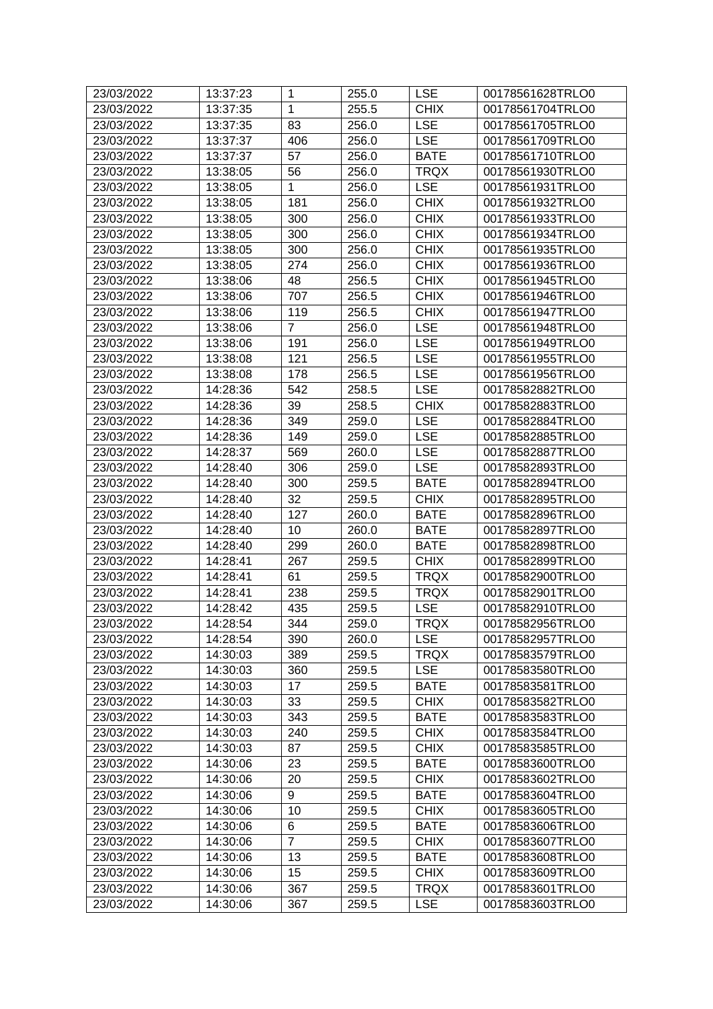| 23/03/2022 | 13:37:23 | 1              | 255.0 | <b>LSE</b>  | 00178561628TRLO0 |
|------------|----------|----------------|-------|-------------|------------------|
| 23/03/2022 | 13:37:35 | 1              | 255.5 | <b>CHIX</b> | 00178561704TRLO0 |
| 23/03/2022 | 13:37:35 | 83             | 256.0 | <b>LSE</b>  | 00178561705TRLO0 |
| 23/03/2022 | 13:37:37 | 406            | 256.0 | <b>LSE</b>  | 00178561709TRLO0 |
| 23/03/2022 | 13:37:37 | 57             | 256.0 | <b>BATE</b> | 00178561710TRLO0 |
| 23/03/2022 | 13:38:05 | 56             | 256.0 | <b>TRQX</b> | 00178561930TRLO0 |
| 23/03/2022 | 13:38:05 | 1              | 256.0 | <b>LSE</b>  | 00178561931TRLO0 |
| 23/03/2022 | 13:38:05 | 181            | 256.0 | <b>CHIX</b> | 00178561932TRLO0 |
| 23/03/2022 | 13:38:05 | 300            | 256.0 | <b>CHIX</b> | 00178561933TRLO0 |
| 23/03/2022 | 13:38:05 | 300            | 256.0 | <b>CHIX</b> | 00178561934TRLO0 |
| 23/03/2022 | 13:38:05 | 300            | 256.0 | <b>CHIX</b> | 00178561935TRLO0 |
| 23/03/2022 | 13:38:05 | 274            | 256.0 | <b>CHIX</b> | 00178561936TRLO0 |
| 23/03/2022 | 13:38:06 | 48             | 256.5 | <b>CHIX</b> | 00178561945TRLO0 |
|            |          |                |       |             |                  |
| 23/03/2022 | 13:38:06 | 707            | 256.5 | <b>CHIX</b> | 00178561946TRLO0 |
| 23/03/2022 | 13:38:06 | 119            | 256.5 | <b>CHIX</b> | 00178561947TRLO0 |
| 23/03/2022 | 13:38:06 | $\overline{7}$ | 256.0 | <b>LSE</b>  | 00178561948TRLO0 |
| 23/03/2022 | 13:38:06 | 191            | 256.0 | <b>LSE</b>  | 00178561949TRLO0 |
| 23/03/2022 | 13:38:08 | 121            | 256.5 | <b>LSE</b>  | 00178561955TRLO0 |
| 23/03/2022 | 13:38:08 | 178            | 256.5 | <b>LSE</b>  | 00178561956TRLO0 |
| 23/03/2022 | 14:28:36 | 542            | 258.5 | <b>LSE</b>  | 00178582882TRLO0 |
| 23/03/2022 | 14:28:36 | 39             | 258.5 | <b>CHIX</b> | 00178582883TRLO0 |
| 23/03/2022 | 14:28:36 | 349            | 259.0 | <b>LSE</b>  | 00178582884TRLO0 |
| 23/03/2022 | 14:28:36 | 149            | 259.0 | <b>LSE</b>  | 00178582885TRLO0 |
| 23/03/2022 | 14:28:37 | 569            | 260.0 | <b>LSE</b>  | 00178582887TRLO0 |
| 23/03/2022 | 14:28:40 | 306            | 259.0 | <b>LSE</b>  | 00178582893TRLO0 |
| 23/03/2022 | 14:28:40 | 300            | 259.5 | <b>BATE</b> | 00178582894TRLO0 |
| 23/03/2022 | 14:28:40 | 32             | 259.5 | <b>CHIX</b> | 00178582895TRLO0 |
| 23/03/2022 | 14:28:40 | 127            | 260.0 | <b>BATE</b> | 00178582896TRLO0 |
| 23/03/2022 | 14:28:40 | 10             | 260.0 | <b>BATE</b> | 00178582897TRLO0 |
| 23/03/2022 | 14:28:40 | 299            | 260.0 | <b>BATE</b> | 00178582898TRLO0 |
| 23/03/2022 | 14:28:41 | 267            | 259.5 | <b>CHIX</b> | 00178582899TRLO0 |
| 23/03/2022 | 14:28:41 | 61             | 259.5 | <b>TRQX</b> | 00178582900TRLO0 |
| 23/03/2022 | 14:28:41 | 238            | 259.5 | <b>TRQX</b> | 00178582901TRLO0 |
| 23/03/2022 | 14:28:42 | 435            | 259.5 | <b>LSE</b>  | 00178582910TRLO0 |
| 23/03/2022 | 14:28:54 | 344            | 259.0 | <b>TRQX</b> | 00178582956TRLO0 |
| 23/03/2022 | 14:28:54 | 390            | 260.0 | <b>LSE</b>  | 00178582957TRLO0 |
| 23/03/2022 | 14:30:03 | 389            | 259.5 | <b>TRQX</b> | 00178583579TRLO0 |
| 23/03/2022 | 14:30:03 | 360            | 259.5 | <b>LSE</b>  | 00178583580TRLO0 |
| 23/03/2022 | 14:30:03 | 17             | 259.5 | <b>BATE</b> | 00178583581TRLO0 |
| 23/03/2022 | 14:30:03 | 33             | 259.5 | <b>CHIX</b> | 00178583582TRLO0 |
| 23/03/2022 | 14:30:03 | 343            | 259.5 | <b>BATE</b> | 00178583583TRLO0 |
| 23/03/2022 | 14:30:03 | 240            | 259.5 | <b>CHIX</b> | 00178583584TRLO0 |
| 23/03/2022 | 14:30:03 | 87             | 259.5 | <b>CHIX</b> | 00178583585TRLO0 |
| 23/03/2022 | 14:30:06 | 23             | 259.5 | <b>BATE</b> | 00178583600TRLO0 |
| 23/03/2022 | 14:30:06 | 20             | 259.5 | <b>CHIX</b> | 00178583602TRLO0 |
|            |          |                |       |             |                  |
| 23/03/2022 | 14:30:06 | 9              | 259.5 | <b>BATE</b> | 00178583604TRLO0 |
| 23/03/2022 | 14:30:06 | 10             | 259.5 | <b>CHIX</b> | 00178583605TRLO0 |
| 23/03/2022 | 14:30:06 | 6              | 259.5 | <b>BATE</b> | 00178583606TRLO0 |
| 23/03/2022 | 14:30:06 | 7              | 259.5 | <b>CHIX</b> | 00178583607TRLO0 |
| 23/03/2022 | 14:30:06 | 13             | 259.5 | <b>BATE</b> | 00178583608TRLO0 |
| 23/03/2022 | 14:30:06 | 15             | 259.5 | <b>CHIX</b> | 00178583609TRLO0 |
| 23/03/2022 | 14:30:06 | 367            | 259.5 | <b>TRQX</b> | 00178583601TRLO0 |
| 23/03/2022 | 14:30:06 | 367            | 259.5 | <b>LSE</b>  | 00178583603TRLO0 |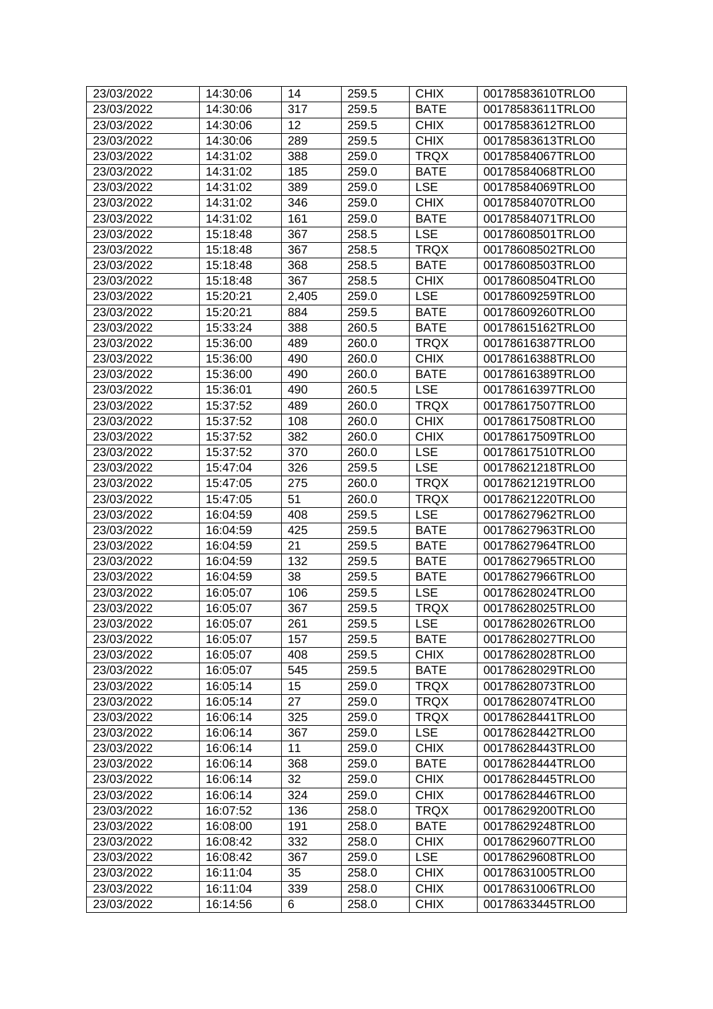| 23/03/2022 | 14:30:06 | 14    | 259.5 | <b>CHIX</b> | 00178583610TRLO0 |
|------------|----------|-------|-------|-------------|------------------|
| 23/03/2022 | 14:30:06 | 317   | 259.5 | <b>BATE</b> | 00178583611TRLO0 |
| 23/03/2022 | 14:30:06 | 12    | 259.5 | <b>CHIX</b> | 00178583612TRLO0 |
| 23/03/2022 | 14:30:06 | 289   | 259.5 | <b>CHIX</b> | 00178583613TRLO0 |
| 23/03/2022 | 14:31:02 | 388   | 259.0 | <b>TRQX</b> | 00178584067TRLO0 |
| 23/03/2022 | 14:31:02 | 185   | 259.0 | <b>BATE</b> | 00178584068TRLO0 |
| 23/03/2022 | 14:31:02 | 389   | 259.0 | <b>LSE</b>  | 00178584069TRLO0 |
| 23/03/2022 | 14:31:02 | 346   | 259.0 | <b>CHIX</b> | 00178584070TRLO0 |
| 23/03/2022 | 14:31:02 | 161   | 259.0 | <b>BATE</b> | 00178584071TRLO0 |
| 23/03/2022 | 15:18:48 | 367   | 258.5 | <b>LSE</b>  | 00178608501TRLO0 |
| 23/03/2022 | 15:18:48 | 367   | 258.5 | <b>TRQX</b> | 00178608502TRLO0 |
| 23/03/2022 | 15:18:48 | 368   | 258.5 | <b>BATE</b> | 00178608503TRLO0 |
| 23/03/2022 | 15:18:48 | 367   | 258.5 | <b>CHIX</b> | 00178608504TRLO0 |
| 23/03/2022 | 15:20:21 | 2,405 | 259.0 | <b>LSE</b>  | 00178609259TRLO0 |
| 23/03/2022 | 15:20:21 | 884   | 259.5 | <b>BATE</b> | 00178609260TRLO0 |
| 23/03/2022 | 15:33:24 | 388   | 260.5 | <b>BATE</b> | 00178615162TRLO0 |
| 23/03/2022 | 15:36:00 | 489   | 260.0 | <b>TRQX</b> | 00178616387TRLO0 |
| 23/03/2022 | 15:36:00 | 490   | 260.0 | <b>CHIX</b> | 00178616388TRLO0 |
| 23/03/2022 | 15:36:00 | 490   | 260.0 | <b>BATE</b> | 00178616389TRLO0 |
| 23/03/2022 | 15:36:01 | 490   | 260.5 | <b>LSE</b>  | 00178616397TRLO0 |
| 23/03/2022 | 15:37:52 | 489   | 260.0 | <b>TRQX</b> | 00178617507TRLO0 |
| 23/03/2022 | 15:37:52 | 108   | 260.0 | <b>CHIX</b> | 00178617508TRLO0 |
| 23/03/2022 | 15:37:52 | 382   | 260.0 | <b>CHIX</b> | 00178617509TRLO0 |
| 23/03/2022 | 15:37:52 | 370   | 260.0 | <b>LSE</b>  | 00178617510TRLO0 |
| 23/03/2022 | 15:47:04 | 326   | 259.5 | <b>LSE</b>  | 00178621218TRLO0 |
| 23/03/2022 | 15:47:05 | 275   | 260.0 | <b>TRQX</b> | 00178621219TRLO0 |
| 23/03/2022 | 15:47:05 | 51    | 260.0 | <b>TRQX</b> | 00178621220TRLO0 |
| 23/03/2022 | 16:04:59 | 408   | 259.5 | <b>LSE</b>  | 00178627962TRLO0 |
| 23/03/2022 | 16:04:59 | 425   | 259.5 | <b>BATE</b> | 00178627963TRLO0 |
| 23/03/2022 | 16:04:59 | 21    | 259.5 | <b>BATE</b> | 00178627964TRLO0 |
| 23/03/2022 | 16:04:59 | 132   | 259.5 | <b>BATE</b> | 00178627965TRLO0 |
| 23/03/2022 | 16:04:59 | 38    | 259.5 | <b>BATE</b> | 00178627966TRLO0 |
| 23/03/2022 | 16:05:07 | 106   | 259.5 | <b>LSE</b>  | 00178628024TRLO0 |
| 23/03/2022 | 16:05:07 | 367   | 259.5 | <b>TRQX</b> | 00178628025TRLO0 |
| 23/03/2022 | 16:05:07 | 261   | 259.5 | <b>LSE</b>  | 00178628026TRLO0 |
| 23/03/2022 | 16:05:07 | 157   | 259.5 | <b>BATE</b> | 00178628027TRLO0 |
| 23/03/2022 | 16:05:07 | 408   | 259.5 | <b>CHIX</b> | 00178628028TRLO0 |
| 23/03/2022 | 16:05:07 | 545   | 259.5 | <b>BATE</b> | 00178628029TRLO0 |
| 23/03/2022 | 16:05:14 | 15    | 259.0 | <b>TRQX</b> | 00178628073TRLO0 |
| 23/03/2022 | 16:05:14 | 27    | 259.0 | <b>TRQX</b> | 00178628074TRLO0 |
| 23/03/2022 | 16:06:14 | 325   | 259.0 | <b>TRQX</b> | 00178628441TRLO0 |
| 23/03/2022 | 16:06:14 | 367   | 259.0 | <b>LSE</b>  | 00178628442TRLO0 |
| 23/03/2022 | 16:06:14 | 11    | 259.0 | <b>CHIX</b> | 00178628443TRLO0 |
| 23/03/2022 | 16:06:14 | 368   | 259.0 | <b>BATE</b> | 00178628444TRLO0 |
| 23/03/2022 | 16:06:14 | 32    | 259.0 | <b>CHIX</b> | 00178628445TRLO0 |
| 23/03/2022 | 16:06:14 | 324   | 259.0 | <b>CHIX</b> | 00178628446TRLO0 |
| 23/03/2022 | 16:07:52 | 136   | 258.0 | <b>TRQX</b> | 00178629200TRLO0 |
| 23/03/2022 | 16:08:00 | 191   | 258.0 | <b>BATE</b> | 00178629248TRLO0 |
| 23/03/2022 | 16:08:42 | 332   | 258.0 | <b>CHIX</b> | 00178629607TRLO0 |
| 23/03/2022 | 16:08:42 | 367   | 259.0 | <b>LSE</b>  | 00178629608TRLO0 |
| 23/03/2022 | 16:11:04 | 35    | 258.0 | <b>CHIX</b> | 00178631005TRLO0 |
| 23/03/2022 | 16:11:04 | 339   | 258.0 | CHIX        | 00178631006TRLO0 |
| 23/03/2022 | 16:14:56 | 6     | 258.0 | <b>CHIX</b> | 00178633445TRLO0 |
|            |          |       |       |             |                  |